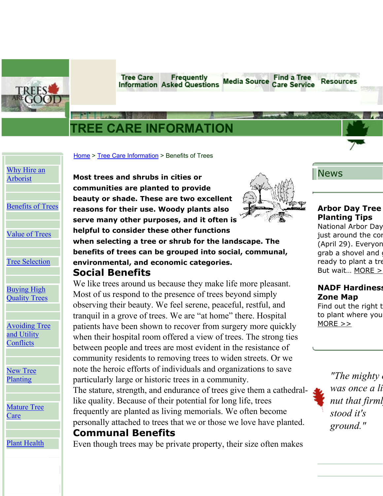**Tree Care** Frequently **Information Asked Questions** 



# **TREE CARE INFORMATION**

[Home](http://www.treesaregood.com/Home.aspx) > [Tree Care Information](http://www.treesaregood.com/treecare/treecareinfo.aspx) > Benefits of Trees

# [Why Hire an](http://www.treesaregood.com/treecare/hire_arborist.aspx) [Arborist](http://www.treesaregood.com/treecare/hire_arborist.aspx)

B[enefits](http://www.treesaregood.com/treecare/tree_benefits.aspx) of Trees

Value of [Trees](http://www.treesaregood.com/treecare/tree_values.aspx)

Tree [Selection](http://www.treesaregood.com/treecare/tree_selection.aspx)

[Buying High](http://www.treesaregood.com/treecare/buying_highquality.aspx) [Quality](http://www.treesaregood.com/treecare/buying_highquality.aspx) Trees

**[Avoiding Tree](http://www.treesaregood.com/treecare/avoiding_conflicts.aspx)** [and Utility](http://www.treesaregood.com/treecare/avoiding_conflicts.aspx) **C[onflicts](http://www.treesaregood.com/treecare/avoiding_conflicts.aspx)** 

[New Tree](http://www.treesaregood.com/treecare/tree_planting.aspx) [Planting](http://www.treesaregood.com/treecare/tree_planting.aspx)

**[Mature Tree](http://www.treesaregood.com/treecare/mature_care.aspx) C[are](http://www.treesaregood.com/treecare/mature_care.aspx)** 

**Plant Health** 

**Most trees and shrubs in cities or communities are planted to provide beauty or shade. These are two excellent reasons for their use. Woody plants also serve many other purposes, and it often is helpful to consider these other functions** 



**Find a Tree** 

**Care Service** 

**Media Source** 

News

Resources

### **Arbor Day Tree Planting Tips**

National Arbor Day just around the cor (April 29). Everyon grab a shovel and g ready to plant a tre But wait… [MORE](http://www.treesaregood.com/pressrelease/press/arbor-day.aspx) >

### **NADF Hardiness Zone Map**

Find out the right t to plant where you  $MORE >>$ 

> *"The mighty was once a li nut that firml stood it's ground."*

**when selecting a tree or shrub for the landscape. The benefits of trees can be grouped into social, communal, environmental, and economic categories. Social Benefits** 

We like trees around us because they make life more pleasant. Most of us respond to the presence of trees beyond simply observing their beauty. We feel serene, peaceful, restful, and tranquil in a grove of trees. We are "at home" there. Hospital patients have been shown to recover from surgery more quickly when their hospital room offered a view of trees. The strong ties between people and trees are most evident in the resistance of community residents to removing trees to widen streets. Or we note the heroic efforts of individuals and organizations to save particularly large or historic trees in a community. The stature, strength, and endurance of trees give them a cathedrallike quality. Because of their potential for long life, trees frequently are planted as living memorials. We often become

personally attached to trees that we or those we love have planted. **Communal Benefits** 

Even though trees may be private property, their size often makes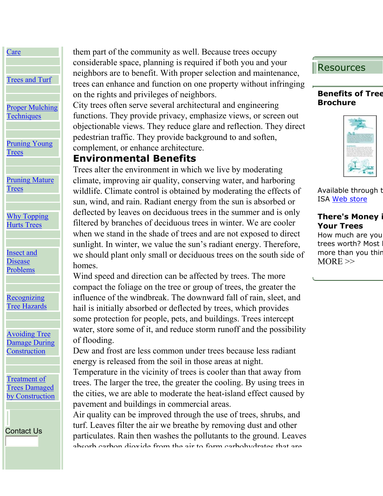**C[are](http://www.treesaregood.com/treecare/phc.aspx)** Trees and [Turf](http://www.treesaregood.com/treecare/trees_turf.aspx) [Proper Mulching](http://www.treesaregood.com/treecare/mulching.aspx) **T[echniques](http://www.treesaregood.com/treecare/mulching.aspx)** [Pruning Young](http://www.treesaregood.com/treecare/pruning_young.aspx) **T[rees](http://www.treesaregood.com/treecare/pruning_young.aspx)** [Pruning Mature](http://www.treesaregood.com/treecare/pruning_mature.aspx) **T[rees](http://www.treesaregood.com/treecare/pruning_mature.aspx)** [Why Topping](http://www.treesaregood.com/treecare/topping.aspx) Hurts [Trees](http://www.treesaregood.com/treecare/topping.aspx)

[Insect and](http://www.treesaregood.com/treecare/insect_disease.aspx) **[Disease](http://www.treesaregood.com/treecare/insect_disease.aspx)** [Problems](http://www.treesaregood.com/treecare/insect_disease.aspx)

**[Recognizing](http://www.treesaregood.com/treecare/hazards.aspx)** Tree [Hazards](http://www.treesaregood.com/treecare/hazards.aspx)

[Avoiding Tree](http://www.treesaregood.com/treecare/avoiding_construction.aspx) [Damage During](http://www.treesaregood.com/treecare/avoiding_construction.aspx) **C[onstruction](http://www.treesaregood.com/treecare/avoiding_construction.aspx)** 

[Treatment of](http://www.treesaregood.com/treecare/treatment_construction.aspx) [Trees Damaged](http://www.treesaregood.com/treecare/treatment_construction.aspx) by [Construction](http://www.treesaregood.com/treecare/treatment_construction.aspx)

[Contact](http://www.treesaregood.com/Contact/Contact.aspx) Us

them part of the community as well. Because trees occupy considerable space, planning is required if both you and your neighbors are to benefit. With proper selection and maintenance, trees can enhance and function on one property without infringing on the rights and privileges of neighbors.

City trees often serve several architectural and engineering functions. They provide privacy, emphasize views, or screen out objectionable views. They reduce glare and reflection. They direct pedestrian traffic. They provide background to and soften, complement, or enhance architecture.

## **Environmental Benefits**

Trees alter the environment in which we live by moderating climate, improving air quality, conserving water, and harboring wildlife. Climate control is obtained by moderating the effects of sun, wind, and rain. Radiant energy from the sun is absorbed or deflected by leaves on deciduous trees in the summer and is only filtered by branches of deciduous trees in winter. We are cooler when we stand in the shade of trees and are not exposed to direct sunlight. In winter, we value the sun's radiant energy. Therefore, we should plant only small or deciduous trees on the south side of homes.

Wind speed and direction can be affected by trees. The more compact the foliage on the tree or group of trees, the greater the influence of the windbreak. The downward fall of rain, sleet, and hail is initially absorbed or deflected by trees, which provides some protection for people, pets, and buildings. Trees intercept water, store some of it, and reduce storm runoff and the possibility of flooding.

Dew and frost are less common under trees because less radiant energy is released from the soil in those areas at night.

Temperature in the vicinity of trees is cooler than that away from trees. The larger the tree, the greater the cooling. By using trees in the cities, we are able to moderate the heat-island effect caused by pavement and buildings in commercial areas.

Air quality can be improved through the use of trees, shrubs, and turf. Leaves filter the air we breathe by removing dust and other particulates. Rain then washes the pollutants to the ground. Leaves absorb carbon dioxide from the air to form carbohydrates that are

# Resources

#### **Benefits of Tree Brochure**



Available through t ISA [Web store](http://secure.isa-arbor.com/store/Brochures-C5.aspx)

### **There's Money i Your Trees**

How much are you trees worth? Most more than you thin  $MORE$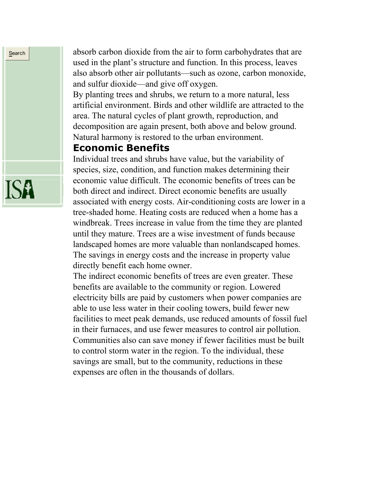absorb carbon dioxide from the air to form carbohydrates that are used in the plant's structure and function. In this process, leaves also absorb other air pollutants—such as ozone, carbon monoxide, and sulfur dioxide—and give off oxygen.

By planting trees and shrubs, we return to a more natural, less artificial environment. Birds and other wildlife are attracted to the area. The natural cycles of plant growth, reproduction, and decomposition are again present, both above and below ground. Natural harmony is restored to the urban environment.

### **Economic Benefits**

Individual trees and shrubs have value, but the variability of species, size, condition, and function makes determining their economic value difficult. The economic benefits of trees can be both direct and indirect. Direct economic benefits are usually associated with energy costs. Air-conditioning costs are lower in a tree-shaded home. Heating costs are reduced when a home has a windbreak. Trees increase in value from the time they are planted until they mature. Trees are a wise investment of funds because landscaped homes are more valuable than nonlandscaped homes. The savings in energy costs and the increase in property value directly benefit each home owner.

The indirect economic benefits of trees are even greater. These benefits are available to the community or region. Lowered electricity bills are paid by customers when power companies are able to use less water in their cooling towers, build fewer new facilities to meet peak demands, use reduced amounts of fossil fuel in their furnaces, and use fewer measures to control air pollution. Communities also can save money if fewer facilities must be built to control storm water in the region. To the individual, these savings are small, but to the community, reductions in these expenses are often in the thousands of dollars.



**Search**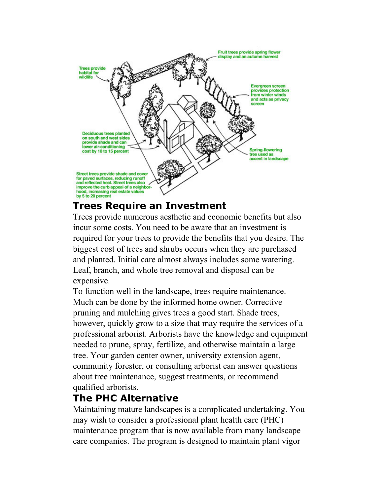

# **Trees Require an Investment**

Trees provide numerous aesthetic and economic benefits but also incur some costs. You need to be aware that an investment is required for your trees to provide the benefits that you desire. The biggest cost of trees and shrubs occurs when they are purchased and planted. Initial care almost always includes some watering. Leaf, branch, and whole tree removal and disposal can be expensive.

To function well in the landscape, trees require maintenance. Much can be done by the informed home owner. Corrective pruning and mulching gives trees a good start. Shade trees, however, quickly grow to a size that may require the services of a professional arborist. Arborists have the knowledge and equipment needed to prune, spray, fertilize, and otherwise maintain a large tree. Your garden center owner, university extension agent, community forester, or consulting arborist can answer questions about tree maintenance, suggest treatments, or recommend qualified arborists.

# **The PHC Alternative**

Maintaining mature landscapes is a complicated undertaking. You may wish to consider a professional plant health care (PHC) maintenance program that is now available from many landscape care companies. The program is designed to maintain plant vigor